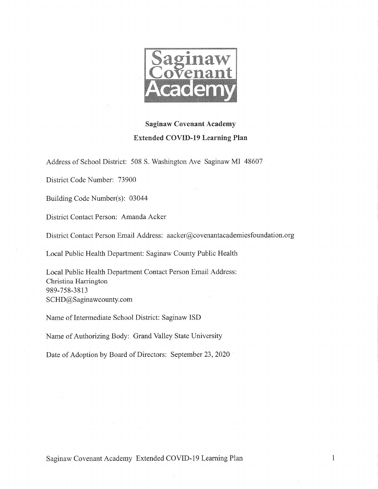

# **Saginaw Covenant Academy Extended COVID-19 Learning Plan**

Address of School District: 508 S. Washington Ave Saginaw MI 48607

District Code Number: 73900

Building Code Number(s): 03044

District Contact Person: Amanda Acker

District Contact Person Email Address: aacker@covenantacademiesfoundation.org

Local Public Health Department: Saginaw County Public Health

Local Public Health Department Contact Person Email Address: Christina Harrington 989-758-3813 SCHD@Saginawcounty.com

Name of Intermediate School District: Saginaw ISD

Name of Authorizing Body: Grand Valley State University

Date of Adoption by Board of Directors: September 23, 2020

Saginaw Covenant Academy Extended COVID-19 Learning Plan

 $\mathbf{1}$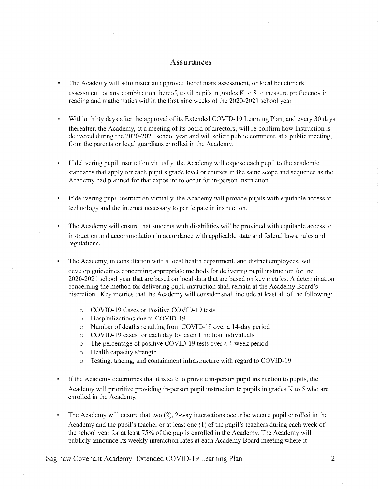#### **Assurances**

- The Academy will administer an approved benchmark assessment, or local benchmark  $\blacksquare$ assessment, or any combination thereof, to all pupils in grades K to 8 to measure proficiency in reading and mathematics within the first nine weeks of the 2020-2021 school year.
- Within thirty days after the approval of its Extended COVID-19 Learning Plan, and every 30 days × thereafter, the Academy, at a meeting of its board of directors, will re-confirm how instruction is delivered during the 2020-2021 school year and will solicit public comment, at a public meeting, from the parents or legal guardians enrolled in the Academy.
- $\blacksquare$ If delivering pupil instruction virtually, the Academy will expose each pupil to the academic standards that apply for each pupil's grade level or courses in the same scope and sequence as the Academy had planned for that exposure to occur for in-person instruction.
- If delivering pupil instruction virtually, the Academy will provide pupils with equitable access to  $\bar{\mathbf{z}}$ technology and the internet necessary to participate in instruction.
- $\blacksquare$ The Academy will ensure that students with disabilities will be provided with equitable access to instruction and accommodation in accordance with applicable state and federal laws, rules and regulations.
- The Academy, in consultation with a local health department, and district employees, will develop guidelines concerning appropriate methods for delivering pupil instruction for the 2020-2021 school year that are based on local data that are based on key metrics. A determination concerning the method for delivering pupil instruction shall remain at the Academy Board's discretion. Key metrics that the Academy will consider shall include at least all of the following:
	- COVID-19 Cases or Positive COVID-19 tests  $\cap$
	- o Hospitalizations due to COVID-19
	- Number of deaths resulting from COVID-19 over a 14-day period  $\circ$
	- COVID-19 cases for each day for each 1 million individuals  $\circ$
	- The percentage of positive COVID-19 tests over a 4-week period  $\circ$
	- Health capacity strength  $\circ$
	- Testing, tracing, and containment infrastructure with regard to COVID-19  $\circ$
- If the Academy determines that it is safe to provide in-person pupil instruction to pupils, the  $\blacksquare$ Academy will prioritize providing in-person pupil instruction to pupils in grades K to 5 who are enrolled in the Academy.
- The Academy will ensure that two  $(2)$ , 2-way interactions occur between a pupil enrolled in the Academy and the pupil's teacher or at least one (1) of the pupil's teachers during each week of the school year for at least 75% of the pupils enrolled in the Academy. The Academy will publicly announce its weekly interaction rates at each Academy Board meeting where it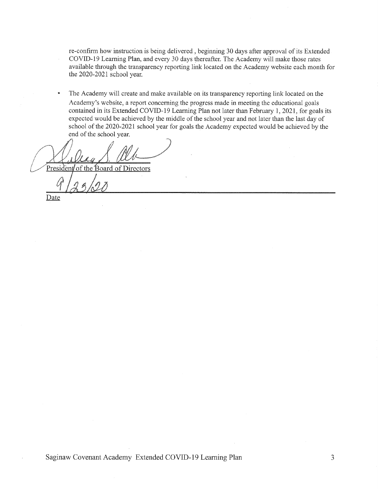re-confirm how instruction is being delivered, beginning 30 days after approval of its Extended COVID-19 Learning Plan, and every 30 days thereafter. The Academy will make those rates available through the transparency reporting link located on the Academy website each month for the 2020-2021 school year.

The Academy will create and make available on its transparency reporting link located on the Academy's website, a report concerning the progress made in meeting the educational goals contained in its Extended COVID-19 Learning Plan not later than February 1, 2021, for goals its expected would be achieved by the middle of the school year and not later than the last day of school of the 2020-2021 school year for goals the Academy expected would be achieved by the end of the school year.

President of the Board of Directors

Date

Saginaw Covenant Academy Extended COVID-19 Learning Plan

3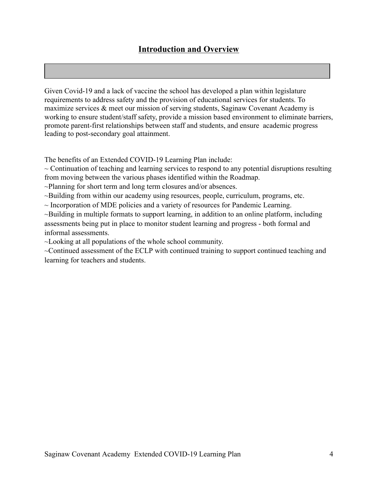Given Covid-19 and a lack of vaccine the school has developed a plan within legislature requirements to address safety and the provision of educational services for students. To maximize services & meet our mission of serving students, Saginaw Covenant Academy is working to ensure student/staff safety, provide a mission based environment to eliminate barriers, promote parent-first relationships between staff and students, and ensure academic progress leading to post-secondary goal attainment.

The benefits of an Extended COVID-19 Learning Plan include:

 $\sim$  Continuation of teaching and learning services to respond to any potential disruptions resulting from moving between the various phases identified within the Roadmap.

~Planning for short term and long term closures and/or absences.

~Building from within our academy using resources, people, curriculum, programs, etc.

 $\sim$  Incorporation of MDE policies and a variety of resources for Pandemic Learning.

~Building in multiple formats to support learning, in addition to an online platform, including assessments being put in place to monitor student learning and progress - both formal and informal assessments.

~Looking at all populations of the whole school community.

~Continued assessment of the ECLP with continued training to support continued teaching and learning for teachers and students.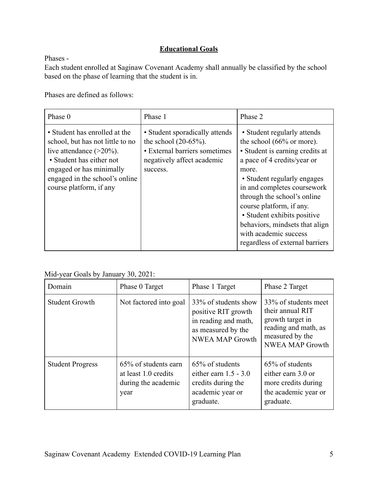## **Educational Goals**

Phases -

Each student enrolled at Saginaw Covenant Academy shall annually be classified by the school based on the phase of learning that the student is in.

Phases are defined as follows:

| Phase 0                                                                                                                                                                                                               | Phase 1                                                                                                                              | Phase 2                                                                                                                                                                                                                                                                                                                                                                                              |
|-----------------------------------------------------------------------------------------------------------------------------------------------------------------------------------------------------------------------|--------------------------------------------------------------------------------------------------------------------------------------|------------------------------------------------------------------------------------------------------------------------------------------------------------------------------------------------------------------------------------------------------------------------------------------------------------------------------------------------------------------------------------------------------|
| • Student has enrolled at the<br>school, but has not little to no<br>live attendance $(>20\%)$ .<br>• Student has either not<br>engaged or has minimally<br>engaged in the school's online<br>course platform, if any | • Student sporadically attends<br>the school $(20-65%)$ .<br>• External barriers sometimes<br>negatively affect academic<br>success. | • Student regularly attends<br>the school $(66\% \text{ or more}).$<br>• Student is earning credits at<br>a pace of 4 credits/year or<br>more.<br>• Student regularly engages<br>in and completes coursework<br>through the school's online<br>course platform, if any.<br>• Student exhibits positive<br>behaviors, mindsets that align<br>with academic success<br>regardless of external barriers |

#### Mid-year Goals by January 30, 2021:

| Domain                  | Phase 0 Target                                                              | Phase 1 Target                                                                                                      | Phase 2 Target                                                                                                                    |
|-------------------------|-----------------------------------------------------------------------------|---------------------------------------------------------------------------------------------------------------------|-----------------------------------------------------------------------------------------------------------------------------------|
| <b>Student Growth</b>   | Not factored into goal                                                      | 33% of students show<br>positive RIT growth<br>in reading and math,<br>as measured by the<br><b>NWEA MAP Growth</b> | 33% of students meet<br>their annual RIT<br>growth target in<br>reading and math, as<br>measured by the<br><b>NWEA MAP Growth</b> |
| <b>Student Progress</b> | 65% of students earn<br>at least 1.0 credits<br>during the academic<br>year | 65% of students<br>either earn $1.5 - 3.0$<br>credits during the<br>academic year or<br>graduate.                   | 65% of students<br>either earn 3.0 or<br>more credits during<br>the academic year or<br>graduate.                                 |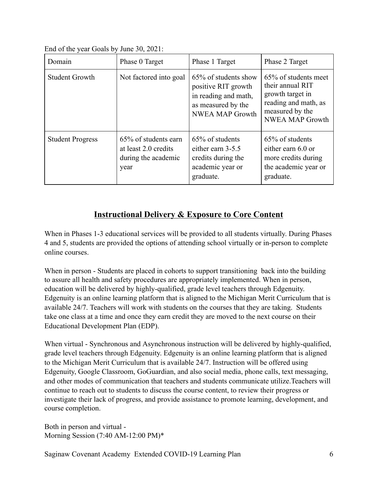| Domain                  | Phase 0 Target                                                              | Phase 1 Target                                                                                                      | Phase 2 Target                                                                                                                    |
|-------------------------|-----------------------------------------------------------------------------|---------------------------------------------------------------------------------------------------------------------|-----------------------------------------------------------------------------------------------------------------------------------|
| <b>Student Growth</b>   | Not factored into goal                                                      | 65% of students show<br>positive RIT growth<br>in reading and math,<br>as measured by the<br><b>NWEA MAP Growth</b> | 65% of students meet<br>their annual RIT<br>growth target in<br>reading and math, as<br>measured by the<br><b>NWEA MAP Growth</b> |
| <b>Student Progress</b> | 65% of students earn<br>at least 2.0 credits<br>during the academic<br>year | 65% of students<br>either earn 3-5.5<br>credits during the<br>academic year or<br>graduate.                         | 65% of students<br>either earn 6.0 or<br>more credits during<br>the academic year or<br>graduate.                                 |

# **Instructional Delivery & Exposure to Core Content**

When in Phases 1-3 educational services will be provided to all students virtually. During Phases 4 and 5, students are provided the options of attending school virtually or in-person to complete online courses.

When in person - Students are placed in cohorts to support transitioning back into the building to assure all health and safety procedures are appropriately implemented. When in person, education will be delivered by highly-qualified, grade level teachers through Edgenuity. Edgenuity is an online learning platform that is aligned to the Michigan Merit Curriculum that is available 24/7. Teachers will work with students on the courses that they are taking. Students take one class at a time and once they earn credit they are moved to the next course on their Educational Development Plan (EDP).

When virtual - Synchronous and Asynchronous instruction will be delivered by highly-qualified, grade level teachers through Edgenuity. Edgenuity is an online learning platform that is aligned to the Michigan Merit Curriculum that is available 24/7. Instruction will be offered using Edgenuity, Google Classroom, GoGuardian, and also social media, phone calls, text messaging, and other modes of communication that teachers and students communicate utilize.Teachers will continue to reach out to students to discuss the course content, to review their progress or investigate their lack of progress, and provide assistance to promote learning, development, and course completion.

Both in person and virtual - Morning Session (7:40 AM-12:00 PM)\*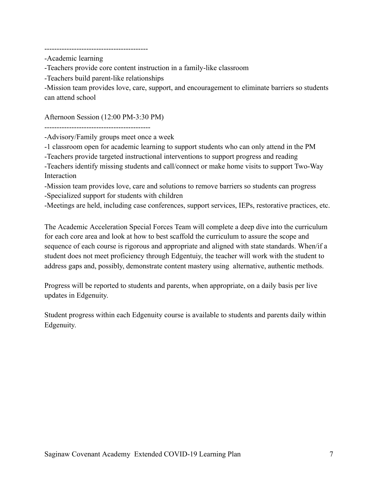-Academic learning

-Teachers provide core content instruction in a family-like classroom

-Teachers build parent-like relationships

------------------------------------------

-Mission team provides love, care, support, and encouragement to eliminate barriers so students can attend school

Afternoon Session (12:00 PM-3:30 PM)

-------------------------------------------

-Advisory/Family groups meet once a week

-1 classroom open for academic learning to support students who can only attend in the PM

-Teachers provide targeted instructional interventions to support progress and reading

-Teachers identify missing students and call/connect or make home visits to support Two-Way Interaction

-Mission team provides love, care and solutions to remove barriers so students can progress -Specialized support for students with children

-Meetings are held, including case conferences, support services, IEPs, restorative practices, etc.

The Academic Acceleration Special Forces Team will complete a deep dive into the curriculum for each core area and look at how to best scaffold the curriculum to assure the scope and sequence of each course is rigorous and appropriate and aligned with state standards. When/if a student does not meet proficiency through Edgentuiy, the teacher will work with the student to address gaps and, possibly, demonstrate content mastery using alternative, authentic methods.

Progress will be reported to students and parents, when appropriate, on a daily basis per live updates in Edgenuity.

Student progress within each Edgenuity course is available to students and parents daily within Edgenuity.